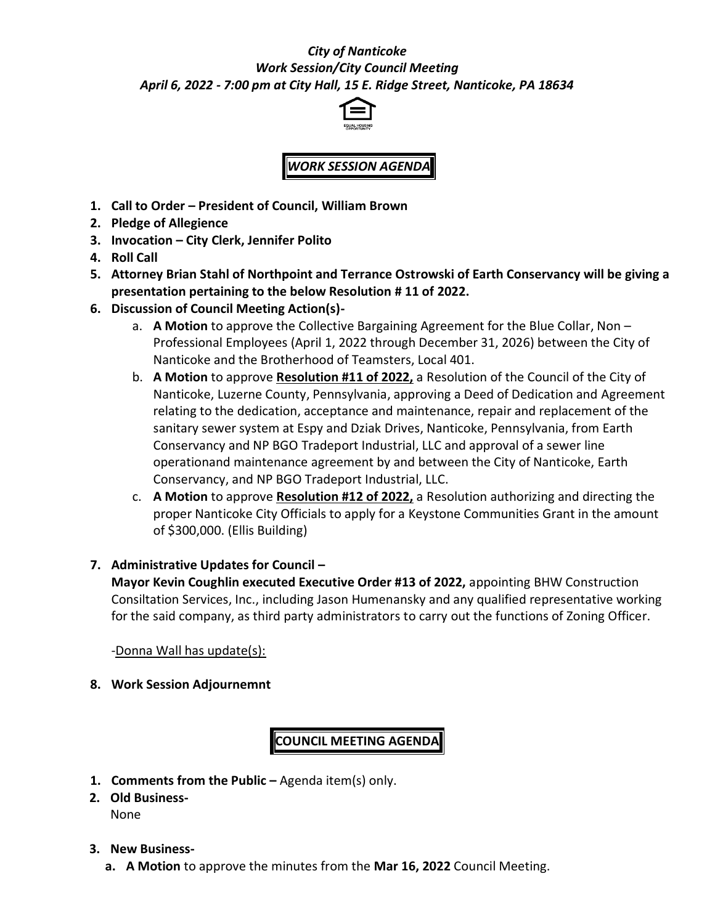## *City of Nanticoke Work Session/City Council Meeting April 6, 2022 - 7:00 pm at City Hall, 15 E. Ridge Street, Nanticoke, PA 18634*



## *WORK SESSION AGENDA*

- **1. Call to Order – President of Council, William Brown**
- **2. Pledge of Allegience**
- **3. Invocation – City Clerk, Jennifer Polito**
- **4. Roll Call**
- **5. Attorney Brian Stahl of Northpoint and Terrance Ostrowski of Earth Conservancy will be giving a presentation pertaining to the below Resolution # 11 of 2022.**
- **6. Discussion of Council Meeting Action(s)**
	- a. **A Motion** to approve the Collective Bargaining Agreement for the Blue Collar, Non Professional Employees (April 1, 2022 through December 31, 2026) between the City of Nanticoke and the Brotherhood of Teamsters, Local 401.
	- b. **A Motion** to approve **Resolution #11 of 2022,** a Resolution of the Council of the City of Nanticoke, Luzerne County, Pennsylvania, approving a Deed of Dedication and Agreement relating to the dedication, acceptance and maintenance, repair and replacement of the sanitary sewer system at Espy and Dziak Drives, Nanticoke, Pennsylvania, from Earth Conservancy and NP BGO Tradeport Industrial, LLC and approval of a sewer line operationand maintenance agreement by and between the City of Nanticoke, Earth Conservancy, and NP BGO Tradeport Industrial, LLC.
	- c. **A Motion** to approve **Resolution #12 of 2022,** a Resolution authorizing and directing the proper Nanticoke City Officials to apply for a Keystone Communities Grant in the amount of \$300,000. (Ellis Building)

## **7. Administrative Updates for Council –**

**Mayor Kevin Coughlin executed Executive Order #13 of 2022,** appointing BHW Construction Consiltation Services, Inc., including Jason Humenansky and any qualified representative working for the said company, as third party administrators to carry out the functions of Zoning Officer.

-Donna Wall has update(s):

**8. Work Session Adjournemnt**

**COUNCIL MEETING AGENDA**

- **1. Comments from the Public –** Agenda item(s) only.
- **2. Old Business-**None

## **3. New Business-**

**a. A Motion** to approve the minutes from the **Mar 16, 2022** Council Meeting.